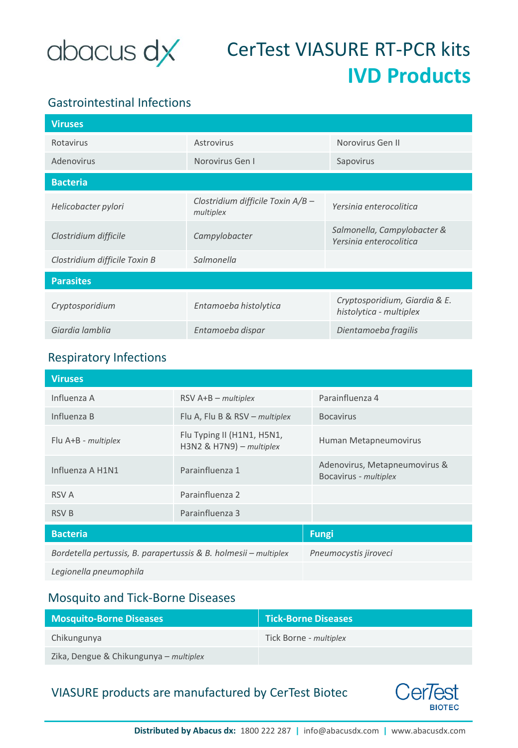

# CerTest VIASURE RT-PCR kits **IVD Products**

## Gastrointestinal Infections

| <b>Viruses</b>                |                                                |                                                          |
|-------------------------------|------------------------------------------------|----------------------------------------------------------|
| Rotavirus                     | Astrovirus                                     | Norovirus Gen II                                         |
| Adenovirus                    | Norovirus Gen I                                | Sapovirus                                                |
| <b>Bacteria</b>               |                                                |                                                          |
| Helicobacter pylori           | Clostridium difficile Toxin A/B -<br>multiplex | Yersinia enterocolitica                                  |
| Clostridium difficile         | Campylobacter                                  | Salmonella, Campylobacter &<br>Yersinia enterocolitica   |
| Clostridium difficile Toxin B | Salmonella                                     |                                                          |
| <b>Parasites</b>              |                                                |                                                          |
| Cryptosporidium               | Entamoeba histolytica                          | Cryptosporidium, Giardia & E.<br>histolytica - multiplex |
| Giardia lamblia               | Entamoeba dispar                               | Dientamoeba fragilis                                     |

#### Respiratory Infections

| <b>Viruses</b>                                                   |                                                             |                                                        |
|------------------------------------------------------------------|-------------------------------------------------------------|--------------------------------------------------------|
| Influenza A                                                      | $RSV$ A+B – multiplex                                       | Parainfluenza 4                                        |
| Influenza B                                                      | Flu A, Flu B & $RSV$ – <i>multiplex</i>                     | <b>Bocavirus</b>                                       |
| Flu A+B - multiplex                                              | Flu Typing II (H1N1, H5N1,<br>$H3N2$ & $H7N9$ ) – multiplex | Human Metapneumovirus                                  |
| Influenza A H1N1                                                 | Parainfluenza 1                                             | Adenovirus, Metapneumovirus &<br>Bocavirus - multiplex |
| <b>RSV A</b>                                                     | Parainfluenza 2                                             |                                                        |
| <b>RSV B</b>                                                     | Parainfluenza 3                                             |                                                        |
| <b>Bacteria</b>                                                  |                                                             | <b>Fungi</b>                                           |
| Bordetella pertussis, B. parapertussis & B. holmesii - multiplex |                                                             | Pneumocystis jiroveci                                  |
| Legionella pneumophila                                           |                                                             |                                                        |

#### Mosquito and Tick-Borne Diseases

| <b>Mosquito-Borne Diseases</b>         | <b>Tick-Borne Diseases</b> |
|----------------------------------------|----------------------------|
| Chikungunya                            | Tick Borne - multiplex     |
| Zika, Dengue & Chikungunya – multiplex |                            |

### VIASURE products are manufactured by CerTest Biotec